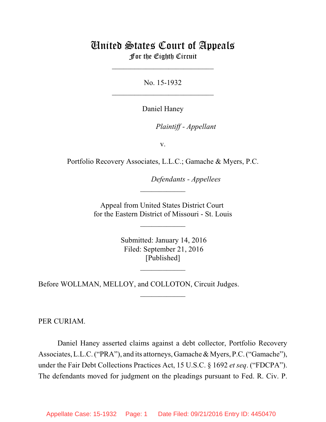# United States Court of Appeals For the Eighth Circuit

\_\_\_\_\_\_\_\_\_\_\_\_\_\_\_\_\_\_\_\_\_\_\_\_\_\_\_

No. 15-1932  $\mathcal{L}_\text{max}$  , which is a set of the set of the set of the set of the set of the set of the set of the set of the set of the set of the set of the set of the set of the set of the set of the set of the set of the set of

Daniel Haney

*Plaintiff - Appellant* 

v.

Portfolio Recovery Associates, L.L.C.; Gamache & Myers, P.C.

**Defendants - Appellees** 

Appeal from United States District Court for the Eastern District of Missouri - St. Louis

 $\overline{\phantom{a}}$  , where  $\overline{\phantom{a}}$ 

 $\frac{1}{2}$ 

 Submitted: January 14, 2016 Filed: September 21, 2016 [Published]

 $\frac{1}{2}$ 

 $\frac{1}{2}$ 

Before WOLLMAN, MELLOY, and COLLOTON, Circuit Judges.

PER CURIAM.

Daniel Haney asserted claims against a debt collector, Portfolio Recovery Associates, L.L.C. ("PRA"), and its attorneys, Gamache & Myers, P.C. ("Gamache"), under the Fair Debt Collections Practices Act, 15 U.S.C. § 1692 *et seq*. ("FDCPA"). The defendants moved for judgment on the pleadings pursuant to Fed. R. Civ. P.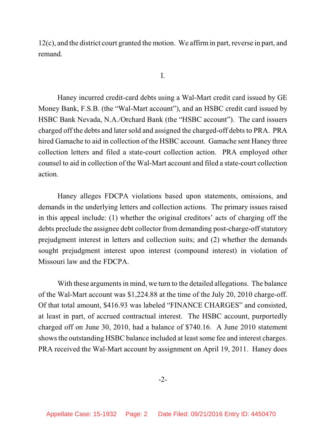12(c), and the district court granted the motion. We affirmin part, reverse in part, and remand.

I.

Haney incurred credit-card debts using a Wal-Mart credit card issued by GE Money Bank, F.S.B. (the "Wal-Mart account"), and an HSBC credit card issued by HSBC Bank Nevada, N.A./Orchard Bank (the "HSBC account"). The card issuers charged off the debts and later sold and assigned the charged-off debts to PRA. PRA hired Gamache to aid in collection of the HSBC account. Gamache sent Haney three collection letters and filed a state-court collection action. PRA employed other counsel to aid in collection of the Wal-Mart account and filed a state-court collection action.

Haney alleges FDCPA violations based upon statements, omissions, and demands in the underlying letters and collection actions. The primary issues raised in this appeal include: (1) whether the original creditors' acts of charging off the debts preclude the assignee debt collector from demanding post-charge-off statutory prejudgment interest in letters and collection suits; and (2) whether the demands sought prejudgment interest upon interest (compound interest) in violation of Missouri law and the FDCPA.

With these arguments in mind, we turn to the detailed allegations. The balance of the Wal-Mart account was \$1,224.88 at the time of the July 20, 2010 charge-off. Of that total amount, \$416.93 was labeled "FINANCE CHARGES" and consisted, at least in part, of accrued contractual interest. The HSBC account, purportedly charged off on June 30, 2010, had a balance of \$740.16. A June 2010 statement shows the outstanding HSBC balance included at least some fee and interest charges. PRA received the Wal-Mart account by assignment on April 19, 2011. Haney does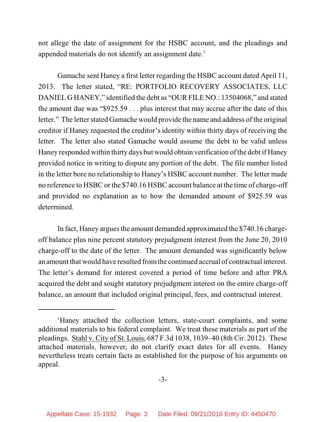not allege the date of assignment for the HSBC account, and the pleadings and appended materials do not identify an assignment date.<sup>1</sup>

Gamache sent Haney a first letter regarding the HSBC account dated April 11, 2013. The letter stated, "RE: PORTFOLIO RECOVERY ASSOCIATES, LLC DANIEL G HANEY," identified the debt as "OUR FILE NO.: 13504068," and stated the amount due was "\$925.59 . . . plus interest that may accrue after the date of this letter." The letter stated Gamache would provide the name and address of the original creditor if Haney requested the creditor's identity within thirty days of receiving the letter. The letter also stated Gamache would assume the debt to be valid unless Haney responded within thirty days but would obtain verification of the debt if Haney provided notice in writing to dispute any portion of the debt. The file number listed in the letter bore no relationship to Haney's HSBC account number. The letter made no reference to HSBC or the \$740.16 HSBC account balance at the time of charge-off and provided no explanation as to how the demanded amount of \$925.59 was determined.

In fact, Haney argues the amount demanded approximated the \$740.16 chargeoff balance plus nine percent statutory prejudgment interest from the June 20, 2010 charge-off to the date of the letter. The amount demanded was significantly below an amount that would have resulted fromthe continued accrual of contractual interest. The letter's demand for interest covered a period of time before and after PRA acquired the debt and sought statutory prejudgment interest on the entire charge-off balance, an amount that included original principal, fees, and contractual interest.

<sup>&</sup>lt;sup>1</sup>Haney attached the collection letters, state-court complaints, and some additional materials to his federal complaint. We treat these materials as part of the pleadings. Stahl v. City of St. Louis, 687 F.3d 1038, 1039–40 (8th Cir. 2012). These attached materials, however, do not clarify exact dates for all events. Haney nevertheless treats certain facts as established for the purpose of his arguments on appeal.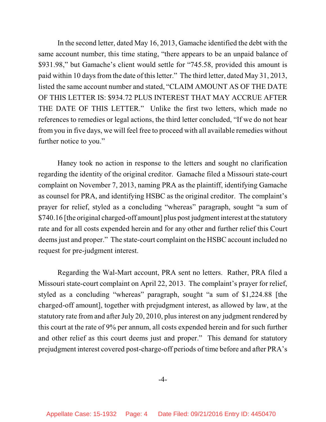In the second letter, dated May 16, 2013, Gamache identified the debt with the same account number, this time stating, "there appears to be an unpaid balance of \$931.98," but Gamache's client would settle for "745.58, provided this amount is paid within 10 days from the date of this letter." The third letter, dated May 31, 2013, listed the same account number and stated, "CLAIM AMOUNT AS OF THE DATE OF THIS LETTER IS: \$934.72 PLUS INTEREST THAT MAY ACCRUE AFTER THE DATE OF THIS LETTER." Unlike the first two letters, which made no references to remedies or legal actions, the third letter concluded, "If we do not hear from you in five days, we will feel free to proceed with all available remedies without further notice to you."

Haney took no action in response to the letters and sought no clarification regarding the identity of the original creditor. Gamache filed a Missouri state-court complaint on November 7, 2013, naming PRA as the plaintiff, identifying Gamache as counsel for PRA, and identifying HSBC as the original creditor. The complaint's prayer for relief, styled as a concluding "whereas" paragraph, sought "a sum of \$740.16 [the original charged-off amount] plus post judgment interest at the statutory rate and for all costs expended herein and for any other and further relief this Court deems just and proper." The state-court complaint on the HSBC account included no request for pre-judgment interest.

Regarding the Wal-Mart account, PRA sent no letters. Rather, PRA filed a Missouri state-court complaint on April 22, 2013. The complaint's prayer for relief, styled as a concluding "whereas" paragraph, sought "a sum of \$1,224.88 [the charged-off amount], together with prejudgment interest, as allowed by law, at the statutory rate from and after July 20, 2010, plus interest on any judgment rendered by this court at the rate of 9% per annum, all costs expended herein and for such further and other relief as this court deems just and proper." This demand for statutory prejudgment interest covered post-charge-off periods of time before and after PRA's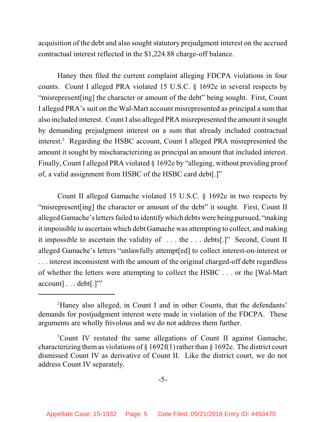acquisition of the debt and also sought statutory prejudgment interest on the accrued contractual interest reflected in the \$1,224.88 charge-off balance.

Haney then filed the current complaint alleging FDCPA violations in four counts. Count I alleged PRA violated 15 U.S.C. § 1692e in several respects by "misrepresent[ing] the character or amount of the debt" being sought. First, Count I alleged PRA's suit on the Wal-Mart account misrepresented as principal a sum that also included interest. Count I also alleged PRA misrepresented the amount it sought by demanding prejudgment interest on a sum that already included contractual interest.<sup>2</sup> Regarding the HSBC account, Count I alleged PRA misrepresented the amount it sought by mischaracterizing as principal an amount that included interest. Finally, Count I alleged PRA violated § 1692e by "alleging, without providing proof of, a valid assignment from HSBC of the HSBC card debt[.]"

Count II alleged Gamache violated 15 U.S.C. § 1692e in two respects by "misrepresent [ing] the character or amount of the debt" it sought. First, Count II alleged Gamache's letters failed to identify which debts were being pursued, "making" it impossible to ascertain which debt Gamache was attempting to collect, and making it impossible to ascertain the validity of . . . the . . . debts[.]" Second, Count II alleged Gamache's letters "unlawfully attempt[ed] to collect interest-on-interest or . . . interest inconsistent with the amount of the original charged-off debt regardless of whether the letters were attempting to collect the HSBC . . . or the [Wal-Mart  $account$ ]... $debt$ [.]"<sup>3</sup>

<sup>&</sup>lt;sup>2</sup>Haney also alleged, in Count I and in other Counts, that the defendants' demands for postjudgment interest were made in violation of the FDCPA. These arguments are wholly frivolous and we do not address them further.

<sup>&</sup>lt;sup>3</sup>Count IV restated the same allegations of Count II against Gamache, characterizing them as violations of  $\S 1692f(1)$  rather than  $\S 1692e$ . The district court dismissed Count IV as derivative of Count II. Like the district court, we do not address Count IV separately.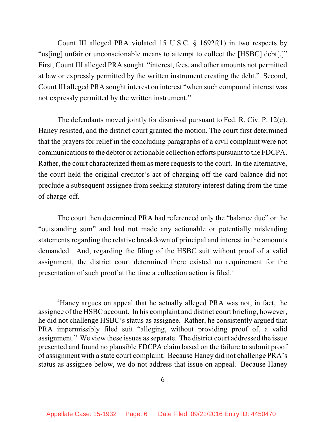Count III alleged PRA violated 15 U.S.C. § 1692f(1) in two respects by "us[ing] unfair or unconscionable means to attempt to collect the [HSBC] debt[.]" First, Count III alleged PRA sought "interest, fees, and other amounts not permitted at law or expressly permitted by the written instrument creating the debt." Second, Count III alleged PRA sought interest on interest "when such compound interest was not expressly permitted by the written instrument."

The defendants moved jointly for dismissal pursuant to Fed. R. Civ. P. 12(c). Haney resisted, and the district court granted the motion. The court first determined that the prayers for relief in the concluding paragraphs of a civil complaint were not communicationsto the debtor or actionable collection efforts pursuant to the FDCPA. Rather, the court characterized them as mere requests to the court. In the alternative, the court held the original creditor's act of charging off the card balance did not preclude a subsequent assignee from seeking statutory interest dating from the time of charge-off.

The court then determined PRA had referenced only the "balance due" or the "outstanding sum" and had not made any actionable or potentially misleading statements regarding the relative breakdown of principal and interest in the amounts demanded. And, regarding the filing of the HSBC suit without proof of a valid assignment, the district court determined there existed no requirement for the presentation of such proof at the time a collection action is filed.<sup>4</sup>

<sup>&</sup>lt;sup>4</sup>Haney argues on appeal that he actually alleged PRA was not, in fact, the assignee of the HSBC account. In his complaint and district court briefing, however, he did not challenge HSBC's status as assignee. Rather, he consistently argued that PRA impermissibly filed suit "alleging, without providing proof of, a valid assignment." We view these issues asseparate. The district court addressed the issue presented and found no plausible FDCPA claim based on the failure to submit proof of assignment with a state court complaint. Because Haney did not challenge PRA's status as assignee below, we do not address that issue on appeal. Because Haney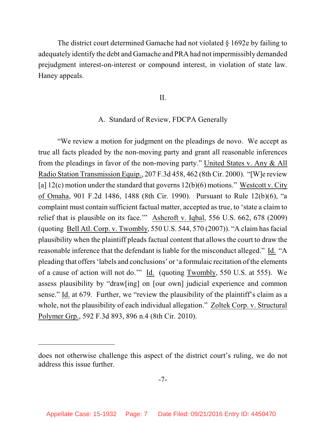The district court determined Gamache had not violated § 1692e by failing to adequately identify the debt and Gamache and PRA had not impermissibly demanded prejudgment interest-on-interest or compound interest, in violation of state law. Haney appeals.

II.

#### A. Standard of Review, FDCPA Generally

"We review a motion for judgment on the pleadings de novo. We accept as true all facts pleaded by the non-moving party and grant all reasonable inferences from the pleadings in favor of the non-moving party." United States v. Any & All Radio Station Transmission Equip., 207 F.3d 458, 462 (8th Cir. 2000). "[W]e review [a]  $12(c)$  motion under the standard that governs  $12(b)(6)$  motions." Westcott v. City of Omaha, 901 F.2d 1486, 1488 (8th Cir. 1990). Pursuant to Rule 12(b)(6), "a complaint must contain sufficient factual matter, accepted as true, to 'state a claim to relief that is plausible on its face.'" Ashcroft v. Iqbal, 556 U.S. 662, 678 (2009) (quoting Bell Atl. Corp. v. Twombly, 550 U.S. 544, 570 (2007)). "A claim has facial plausibility when the plaintiff pleads factual content that allows the court to draw the reasonable inference that the defendant is liable for the misconduct alleged." Id. "A pleading that offers'labels and conclusions' or'a formulaic recitation of the elements of a cause of action will not do.'" Id. (quoting Twombly, 550 U.S. at 555). We assess plausibility by "draw[ing] on [our own] judicial experience and common sense." Id. at 679. Further, we "review the plausibility of the plaintiff's claim as a whole, not the plausibility of each individual allegation." Zoltek Corp. v. Structural Polymer Grp., 592 F.3d 893, 896 n.4 (8th Cir. 2010).

does not otherwise challenge this aspect of the district court's ruling, we do not address this issue further.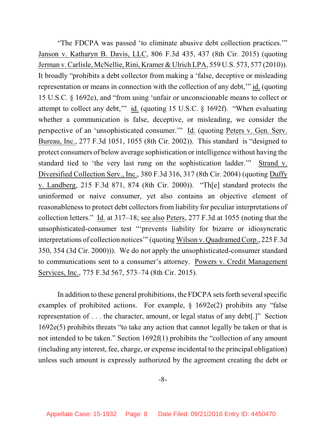"The FDCPA was passed 'to eliminate abusive debt collection practices.'" Janson v. Katharyn B. Davis, LLC, 806 F.3d 435, 437 (8th Cir. 2015) (quoting Jerman v. Carlisle, McNellie, Rini, Kramer & Ulrich LPA, 559 U.S. 573, 577 (2010)). It broadly "prohibits a debt collector from making a 'false, deceptive or misleading representation or means in connection with the collection of any debt,'" id. (quoting 15 U.S.C. § 1692e), and "from using 'unfair or unconscionable means to collect or attempt to collect any debt,'" id. (quoting 15 U.S.C. § 1692f). "When evaluating whether a communication is false, deceptive, or misleading, we consider the perspective of an 'unsophisticated consumer.'" Id. (quoting Peters v. Gen. Serv. Bureau, Inc., 277 F.3d 1051, 1055 (8th Cir. 2002)). This standard is "designed to protect consumers of below average sophistication or intelligence without having the standard tied to 'the very last rung on the sophistication ladder.'" Strand v. Diversified Collection Serv., Inc., 380 F.3d 316, 317 (8th Cir. 2004) (quoting Duffy v. Landberg, 215 F.3d 871, 874 (8th Cir. 2000)). "Th[e] standard protects the uninformed or naive consumer, yet also contains an objective element of reasonableness to protect debt collectors from liability for peculiar interpretations of collection letters." Id. at 317–18; see also Peters, 277 F.3d at 1055 (noting that the unsophisticated-consumer test "'prevents liability for bizarre or idiosyncratic interpretations of collection notices'" (quoting Wilson v. Quadramed Corp., 225 F.3d 350, 354 (3d Cir. 2000))). We do not apply the unsophisticated-consumer standard to communications sent to a consumer's attorney. Powers v. Credit Management Services, Inc., 775 F.3d 567, 573–74 (8th Cir. 2015).

In addition to these general prohibitions, the FDCPA sets forth several specific examples of prohibited actions. For example, § 1692e(2) prohibits any "false representation of . . . the character, amount, or legal status of any debt[.]" Section 1692e(5) prohibits threats "to take any action that cannot legally be taken or that is not intended to be taken." Section 1692f(1) prohibits the "collection of any amount (including any interest, fee, charge, or expense incidental to the principal obligation) unless such amount is expressly authorized by the agreement creating the debt or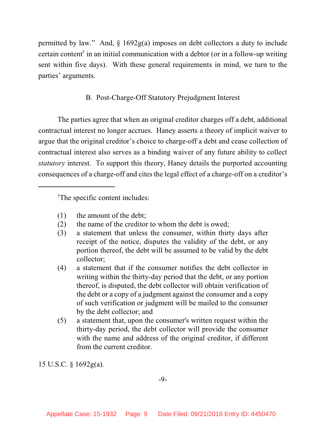permitted by law." And, § 1692g(a) imposes on debt collectors a duty to include certain content<sup>5</sup> in an initial communication with a debtor (or in a follow-up writing sent within five days). With these general requirements in mind, we turn to the parties' arguments.

# B. Post-Charge-Off Statutory Prejudgment Interest

The parties agree that when an original creditor charges off a debt, additional contractual interest no longer accrues. Haney asserts a theory of implicit waiver to argue that the original creditor's choice to charge-off a debt and cease collection of contractual interest also serves as a binding waiver of any future ability to collect *statutory* interest. To support this theory, Haney details the purported accounting consequences of a charge-off and cites the legal effect of a charge-off on a creditor's

<sup>5</sup>The specific content includes:

- (1) the amount of the debt;
- (2) the name of the creditor to whom the debt is owed;
- (3) a statement that unless the consumer, within thirty days after receipt of the notice, disputes the validity of the debt, or any portion thereof, the debt will be assumed to be valid by the debt collector;
- (4) a statement that if the consumer notifies the debt collector in writing within the thirty-day period that the debt, or any portion thereof, is disputed, the debt collector will obtain verification of the debt or a copy of a judgment against the consumer and a copy of such verification or judgment will be mailed to the consumer by the debt collector; and
- (5) a statement that, upon the consumer's written request within the thirty-day period, the debt collector will provide the consumer with the name and address of the original creditor, if different from the current creditor.

15 U.S.C. § 1692g(a).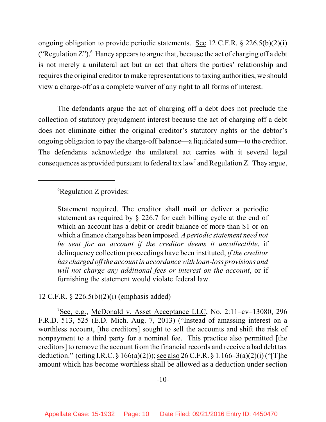ongoing obligation to provide periodic statements. See 12 C.F.R. § 226.5(b)(2)(i) ("Regulation  $Z$ "). Haney appears to argue that, because the act of charging off a debt is not merely a unilateral act but an act that alters the parties' relationship and requires the original creditor to make representations to taxing authorities, we should view a charge-off as a complete waiver of any right to all forms of interest.

The defendants argue the act of charging off a debt does not preclude the collection of statutory prejudgment interest because the act of charging off a debt does not eliminate either the original creditor's statutory rights or the debtor's ongoing obligation to pay the charge-off balance—a liquidated sum—to the creditor. The defendants acknowledge the unilateral act carries with it several legal consequences as provided pursuant to federal tax law<sup>7</sup> and Regulation Z. They argue,

## ${}^6$ Regulation Z provides:

Statement required. The creditor shall mail or deliver a periodic statement as required by § 226.7 for each billing cycle at the end of which an account has a debit or credit balance of more than \$1 or on which a finance charge has been imposed. *A periodic statement need not be sent for an account if the creditor deems it uncollectible*, if delinquency collection proceedings have been instituted, *if the creditor has charged off the account in accordance with loan-loss provisions and will not charge any additional fees or interest on the account*, or if furnishing the statement would violate federal law.

## 12 C.F.R. § 226.5(b)(2)(i) (emphasis added)

<sup>7</sup>See, e.g., McDonald v. Asset Acceptance LLC, No. 2:11-cv-13080, 296 F.R.D. 513, 525 (E.D. Mich. Aug. 7, 2013) ("Instead of amassing interest on a worthless account, [the creditors] sought to sell the accounts and shift the risk of nonpayment to a third party for a nominal fee. This practice also permitted [the creditors] to remove the account from the financial records and receive a bad debt tax deduction." (citing I.R.C. § 166(a)(2))); see also 26 C.F.R. § 1.166–3(a)(2)(i)("[T]he amount which has become worthless shall be allowed as a deduction under section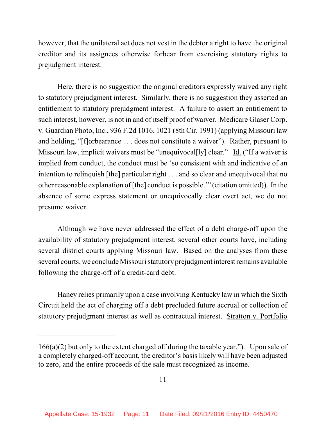however, that the unilateral act does not vest in the debtor a right to have the original creditor and its assignees otherwise forbear from exercising statutory rights to prejudgment interest.

Here, there is no suggestion the original creditors expressly waived any right to statutory prejudgment interest. Similarly, there is no suggestion they asserted an entitlement to statutory prejudgment interest. A failure to assert an entitlement to such interest, however, is not in and of itself proof of waiver. Medicare Glaser Corp. v. Guardian Photo, Inc., 936 F.2d 1016, 1021 (8th Cir. 1991) (applying Missouri law and holding, "[f]orbearance . . . does not constitute a waiver"). Rather, pursuant to Missouri law, implicit waivers must be "unequivocal[ly] clear." Id. ("If a waiver is implied from conduct, the conduct must be 'so consistent with and indicative of an intention to relinquish [the] particular right . . . and so clear and unequivocal that no other reasonable explanation of [the] conduct is possible.'" (citation omitted)). In the absence of some express statement or unequivocally clear overt act, we do not presume waiver.

Although we have never addressed the effect of a debt charge-off upon the availability of statutory prejudgment interest, several other courts have, including several district courts applying Missouri law. Based on the analyses from these several courts, we conclude Missouri statutory prejudgment interest remains available following the charge-off of a credit-card debt.

Haney relies primarily upon a case involving Kentucky law in which the Sixth Circuit held the act of charging off a debt precluded future accrual or collection of statutory prejudgment interest as well as contractual interest. Stratton v. Portfolio

<sup>166(</sup>a)(2) but only to the extent charged off during the taxable year."). Upon sale of a completely charged-off account, the creditor's basis likely will have been adjusted to zero, and the entire proceeds of the sale must recognized as income.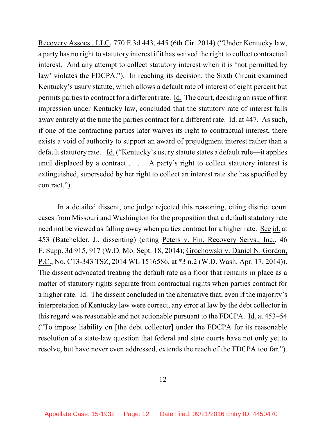Recovery Assocs., LLC, 770 F.3d 443, 445 (6th Cir. 2014) ("Under Kentucky law, a party has no right to statutory interest if it has waived the right to collect contractual interest. And any attempt to collect statutory interest when it is 'not permitted by law' violates the FDCPA."). In reaching its decision, the Sixth Circuit examined Kentucky's usury statute, which allows a default rate of interest of eight percent but permits parties to contract for a different rate. Id. The court, deciding an issue of first impression under Kentucky law, concluded that the statutory rate of interest falls away entirely at the time the parties contract for a different rate. Id. at 447. As such, if one of the contracting parties later waives its right to contractual interest, there exists a void of authority to support an award of prejudgment interest rather than a default statutory rate. Id. ("Kentucky's usury statute states a default rule—it applies until displaced by a contract . . . . A party's right to collect statutory interest is extinguished, superseded by her right to collect an interest rate she has specified by contract.").

In a detailed dissent, one judge rejected this reasoning, citing district court cases from Missouri and Washington for the proposition that a default statutory rate need not be viewed as falling away when parties contract for a higher rate. See id. at 453 (Batchelder, J., dissenting) (citing Peters v. Fin. Recovery Servs., Inc., 46 F. Supp. 3d 915, 917 (W.D. Mo. Sept. 18, 2014); Grochowski v. Daniel N. Gordon, P.C., No. C13-343 TSZ, 2014 WL 1516586, at \*3 n.2 (W.D. Wash. Apr. 17, 2014)). The dissent advocated treating the default rate as a floor that remains in place as a matter of statutory rights separate from contractual rights when parties contract for a higher rate. Id. The dissent concluded in the alternative that, even if the majority's interpretation of Kentucky law were correct, any error at law by the debt collector in this regard was reasonable and not actionable pursuant to the FDCPA. Id. at 453–54 ("To impose liability on [the debt collector] under the FDCPA for its reasonable resolution of a state-law question that federal and state courts have not only yet to resolve, but have never even addressed, extends the reach of the FDCPA too far.").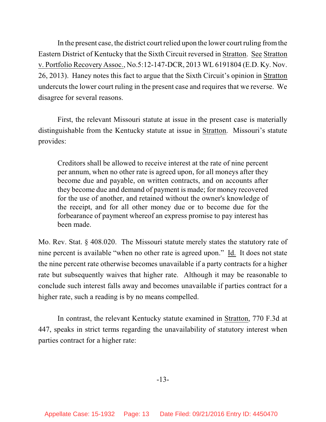In the present case, the district court relied upon the lower court ruling fromthe Eastern District of Kentucky that the Sixth Circuit reversed in Stratton. See Stratton v. Portfolio Recovery Assoc., No.5:12-147-DCR, 2013 WL 6191804 (E.D. Ky. Nov. 26, 2013). Haney notes this fact to argue that the Sixth Circuit's opinion in Stratton undercuts the lower court ruling in the present case and requires that we reverse. We disagree for several reasons.

First, the relevant Missouri statute at issue in the present case is materially distinguishable from the Kentucky statute at issue in Stratton. Missouri's statute provides:

Creditors shall be allowed to receive interest at the rate of nine percent per annum, when no other rate is agreed upon, for all moneys after they become due and payable, on written contracts, and on accounts after they become due and demand of payment is made; for money recovered for the use of another, and retained without the owner's knowledge of the receipt, and for all other money due or to become due for the forbearance of payment whereof an express promise to pay interest has been made.

Mo. Rev. Stat. § 408.020. The Missouri statute merely states the statutory rate of nine percent is available "when no other rate is agreed upon." Id. It does not state the nine percent rate otherwise becomes unavailable if a party contracts for a higher rate but subsequently waives that higher rate. Although it may be reasonable to conclude such interest falls away and becomes unavailable if parties contract for a higher rate, such a reading is by no means compelled.

In contrast, the relevant Kentucky statute examined in Stratton, 770 F.3d at 447, speaks in strict terms regarding the unavailability of statutory interest when parties contract for a higher rate: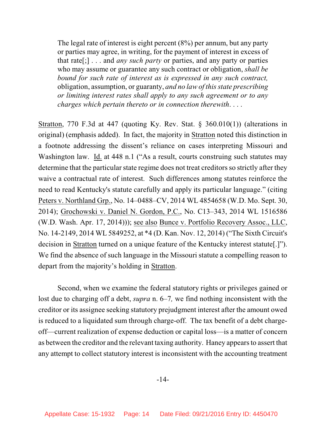The legal rate of interest is eight percent (8%) per annum, but any party or parties may agree, in writing, for the payment of interest in excess of that rate[;] . . . and *any such party* or parties, and any party or parties who may assume or guarantee any such contract or obligation, *shall be bound for such rate of interest as is expressed in any such contract,* obligation, assumption, or guaranty, *and no law of thisstate prescribing or limiting interest rates shall apply to any such agreement or to any charges which pertain thereto or in connection therewith*. . . .

Stratton, 770 F.3d at 447 (quoting Ky. Rev. Stat. § 360.010(1)) (alterations in original) (emphasis added). In fact, the majority in Stratton noted this distinction in a footnote addressing the dissent's reliance on cases interpreting Missouri and Washington law. Id. at 448 n.1 ("As a result, courts construing such statutes may determine that the particular state regime does not treat creditors so strictly after they waive a contractual rate of interest. Such differences among statutes reinforce the need to read Kentucky's statute carefully and apply its particular language." (citing Peters v. Northland Grp., No. 14–0488–CV, 2014 WL 4854658 (W.D. Mo. Sept. 30, 2014); Grochowski v. Daniel N. Gordon, P.C., No. C13–343, 2014 WL 1516586 (W.D. Wash. Apr. 17, 2014))); see also Bunce v. Portfolio Recovery Assoc., LLC, No. 14-2149, 2014 WL 5849252, at \*4 (D. Kan. Nov. 12, 2014) ("The Sixth Circuit's decision in Stratton turned on a unique feature of the Kentucky interest statute[.]"). We find the absence of such language in the Missouri statute a compelling reason to depart from the majority's holding in Stratton.

Second, when we examine the federal statutory rights or privileges gained or lost due to charging off a debt, *supra* n. 6–7*,* we find nothing inconsistent with the creditor or its assignee seeking statutory prejudgment interest after the amount owed is reduced to a liquidated sum through charge-off. The tax benefit of a debt chargeoff—current realization of expense deduction or capital loss—is a matter of concern as between the creditor and the relevant taxing authority. Haney appears to assert that any attempt to collect statutory interest is inconsistent with the accounting treatment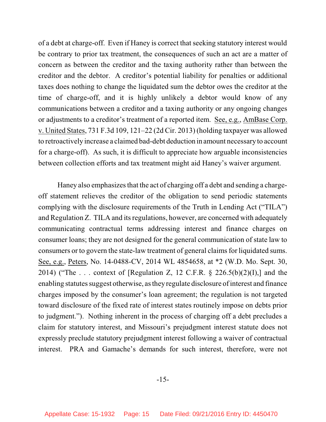of a debt at charge-off. Even if Haney is correct that seeking statutory interest would be contrary to prior tax treatment, the consequences of such an act are a matter of concern as between the creditor and the taxing authority rather than between the creditor and the debtor. A creditor's potential liability for penalties or additional taxes does nothing to change the liquidated sum the debtor owes the creditor at the time of charge-off, and it is highly unlikely a debtor would know of any communications between a creditor and a taxing authority or any ongoing changes or adjustments to a creditor's treatment of a reported item. See, e.g., AmBase Corp. v. United States, 731 F.3d 109, 121–22 (2d Cir. 2013) (holding taxpayer was allowed to retroactively increase a claimed bad-debt deduction in amount necessary to account for a charge-off). As such, it is difficult to appreciate how arguable inconsistencies between collection efforts and tax treatment might aid Haney's waiver argument.

Haney also emphasizes that the act of charging off a debt and sending a chargeoff statement relieves the creditor of the obligation to send periodic statements complying with the disclosure requirements of the Truth in Lending Act ("TILA") and Regulation Z. TILA and its regulations, however, are concerned with adequately communicating contractual terms addressing interest and finance charges on consumer loans; they are not designed for the general communication of state law to consumers or to govern the state-law treatment of general claims for liquidated sums. See, e.g., Peters, No. 14-0488-CV, 2014 WL 4854658, at \*2 (W.D. Mo. Sept. 30, 2014) ("The ... context of [Regulation Z, 12 C.F.R.  $\S$  226.5(b)(2)(I),] and the enabling statutes suggest otherwise, as they regulate disclosure of interest and finance charges imposed by the consumer's loan agreement; the regulation is not targeted toward disclosure of the fixed rate of interest states routinely impose on debts prior to judgment."). Nothing inherent in the process of charging off a debt precludes a claim for statutory interest, and Missouri's prejudgment interest statute does not expressly preclude statutory prejudgment interest following a waiver of contractual interest. PRA and Gamache's demands for such interest, therefore, were not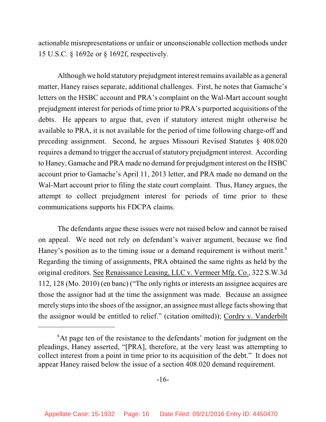actionable misrepresentations or unfair or unconscionable collection methods under 15 U.S.C. § 1692e or § 1692f, respectively.

Although we hold statutory prejudgment interest remains available as a general matter, Haney raises separate, additional challenges. First, he notes that Gamache's letters on the HSBC account and PRA's complaint on the Wal-Mart account sought prejudgment interest for periods of time prior to PRA's purported acquisitions of the debts. He appears to argue that, even if statutory interest might otherwise be available to PRA, it is not available for the period of time following charge-off and preceding assignment. Second, he argues Missouri Revised Statutes § 408.020 requires a demand to trigger the accrual of statutory prejudgment interest. According to Haney, Gamache and PRA made no demand for prejudgment interest on the HSBC account prior to Gamache's April 11, 2013 letter, and PRA made no demand on the Wal-Mart account prior to filing the state court complaint. Thus, Haney argues, the attempt to collect prejudgment interest for periods of time prior to these communications supports his FDCPA claims.

The defendants argue these issues were not raised below and cannot be raised on appeal. We need not rely on defendant's waiver argument, because we find Haney's position as to the timing issue or a demand requirement is without merit.<sup>8</sup> Regarding the timing of assignments, PRA obtained the same rights as held by the original creditors. See Renaissance Leasing, LLC v. Vermeer Mfg. Co., 322 S.W.3d 112, 128 (Mo. 2010) (en banc) ("The only rights or interests an assignee acquires are those the assignor had at the time the assignment was made. Because an assignee merely steps into the shoes of the assignor, an assignee must allege facts showing that the assignor would be entitled to relief." (citation omitted)); Cordry v. Vanderbilt

<sup>&</sup>lt;sup>8</sup>At page ten of the resistance to the defendants' motion for judgment on the pleadings, Haney asserted, "[PRA], therefore, at the very least was attempting to collect interest from a point in time prior to its acquisition of the debt." It does not appear Haney raised below the issue of a section 408.020 demand requirement.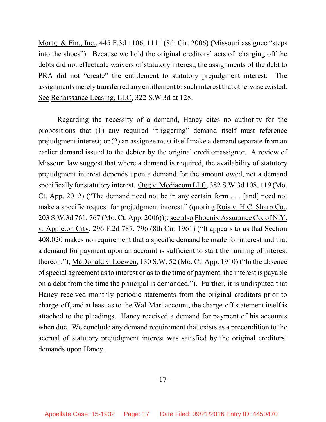Mortg. & Fin., Inc., 445 F.3d 1106, 1111 (8th Cir. 2006) (Missouri assignee "steps into the shoes"). Because we hold the original creditors' acts of charging off the debts did not effectuate waivers of statutory interest, the assignments of the debt to PRA did not "create" the entitlement to statutory prejudgment interest. The assignments merely transferred any entitlement to such interest that otherwise existed. See Renaissance Leasing, LLC, 322 S.W.3d at 128.

Regarding the necessity of a demand, Haney cites no authority for the propositions that (1) any required "triggering" demand itself must reference prejudgment interest; or (2) an assignee must itself make a demand separate from an earlier demand issued to the debtor by the original creditor/assignor. A review of Missouri law suggest that where a demand is required, the availability of statutory prejudgment interest depends upon a demand for the amount owed, not a demand specifically for statutory interest. Ogg v. Mediacom LLC, 382 S.W.3d 108, 119 (Mo. Ct. App. 2012) ("The demand need not be in any certain form . . . [and] need not make a specific request for prejudgment interest." (quoting Rois v. H.C. Sharp Co., 203 S.W.3d 761, 767 (Mo. Ct. App. 2006))); see also Phoenix Assurance Co. of N.Y. v. Appleton City, 296 F.2d 787, 796 (8th Cir. 1961) ("It appears to us that Section 408.020 makes no requirement that a specific demand be made for interest and that a demand for payment upon an account is sufficient to start the running of interest thereon."); McDonald v. Loewen, 130 S.W. 52 (Mo. Ct. App. 1910) ("In the absence of special agreement asto interest or as to the time of payment, the interest is payable on a debt from the time the principal is demanded."). Further, it is undisputed that Haney received monthly periodic statements from the original creditors prior to charge-off, and at least as to the Wal-Mart account, the charge-off statement itself is attached to the pleadings. Haney received a demand for payment of his accounts when due. We conclude any demand requirement that exists as a precondition to the accrual of statutory prejudgment interest was satisfied by the original creditors' demands upon Haney.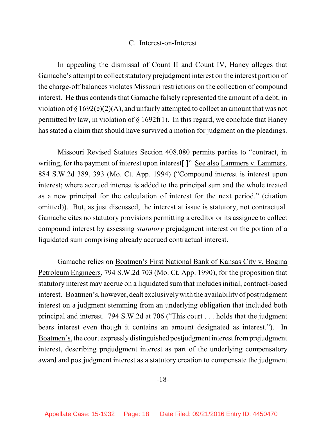#### C. Interest-on-Interest

In appealing the dismissal of Count II and Count IV, Haney alleges that Gamache's attempt to collect statutory prejudgment interest on the interest portion of the charge-off balances violates Missouri restrictions on the collection of compound interest. He thus contends that Gamache falsely represented the amount of a debt, in violation of § 1692(e)(2)(A), and unfairly attempted to collect an amount that was not permitted by law, in violation of  $\S$  1692f(1). In this regard, we conclude that Haney has stated a claim that should have survived a motion for judgment on the pleadings.

Missouri Revised Statutes Section 408.080 permits parties to "contract, in writing, for the payment of interest upon interest[.]" See also Lammers v. Lammers, 884 S.W.2d 389, 393 (Mo. Ct. App. 1994) ("Compound interest is interest upon interest; where accrued interest is added to the principal sum and the whole treated as a new principal for the calculation of interest for the next period." (citation omitted)). But, as just discussed, the interest at issue is statutory, not contractual. Gamache cites no statutory provisions permitting a creditor or its assignee to collect compound interest by assessing *statutory* prejudgment interest on the portion of a liquidated sum comprising already accrued contractual interest.

Gamache relies on Boatmen's First National Bank of Kansas City v. Bogina Petroleum Engineers, 794 S.W.2d 703 (Mo. Ct. App. 1990), for the proposition that statutory interest may accrue on a liquidated sum that includesinitial, contract-based interest. Boatmen's, however, dealt exclusivelywith the availability of postjudgment interest on a judgment stemming from an underlying obligation that included both principal and interest. 794 S.W.2d at 706 ("This court . . . holds that the judgment bears interest even though it contains an amount designated as interest."). In Boatmen's, the court expressly distinguished postjudgment interest fromprejudgment interest, describing prejudgment interest as part of the underlying compensatory award and postjudgment interest as a statutory creation to compensate the judgment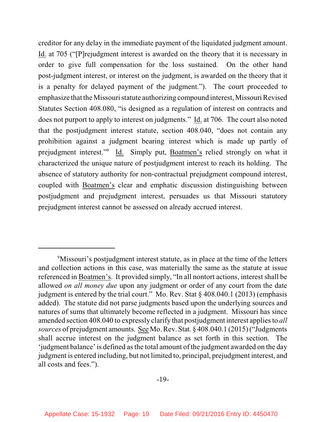creditor for any delay in the immediate payment of the liquidated judgment amount. Id. at 705 ("[P]rejudgment interest is awarded on the theory that it is necessary in order to give full compensation for the loss sustained. On the other hand post-judgment interest, or interest on the judgment, is awarded on the theory that it is a penalty for delayed payment of the judgment."). The court proceeded to emphasize that the Missouri statute authorizing compound interest, Missouri Revised Statutes Section 408.080, "is designed as a regulation of interest on contracts and does not purport to apply to interest on judgments." Id. at 706. The court also noted that the postjudgment interest statute, section 408.040, "does not contain any prohibition against a judgment bearing interest which is made up partly of prejudgment interest."<sup>9</sup> Id. Simply put, Boatmen's relied strongly on what it characterized the unique nature of postjudgment interest to reach its holding. The absence of statutory authority for non-contractual prejudgment compound interest, coupled with Boatmen's clear and emphatic discussion distinguishing between postjudgment and prejudgment interest, persuades us that Missouri statutory prejudgment interest cannot be assessed on already accrued interest.

<sup>&</sup>lt;sup>9</sup>Missouri's postjudgment interest statute, as in place at the time of the letters and collection actions in this case, was materially the same as the statute at issue referenced in Boatmen's. It provided simply, "In all nontort actions, interest shall be allowed *on all money due* upon any judgment or order of any court from the date judgment is entered by the trial court." Mo. Rev. Stat § 408.040.1 (2013) (emphasis added). The statute did not parse judgments based upon the underlying sources and natures of sums that ultimately become reflected in a judgment. Missouri has since amended section 408.040 to expressly clarify that postjudgment interest applies to *all sources* of prejudgment amounts. See Mo. Rev. Stat. § 408.040.1 (2015)("Judgments shall accrue interest on the judgment balance as set forth in this section. The 'judgment balance' is defined asthe total amount of the judgment awarded on the day judgment is entered including, but not limited to, principal, prejudgment interest, and all costs and fees.").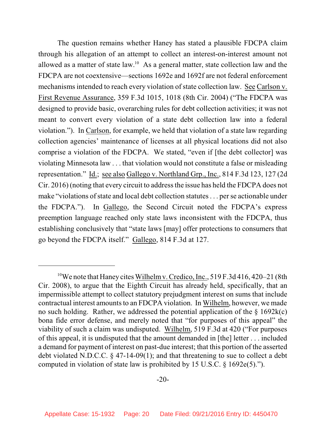The question remains whether Haney has stated a plausible FDCPA claim through his allegation of an attempt to collect an interest-on-interest amount not allowed as a matter of state  $law<sup>10</sup>$  As a general matter, state collection law and the FDCPA are not coextensive—sections 1692e and 1692f are not federal enforcement mechanisms intended to reach every violation of state collection law. See Carlson v. First Revenue Assurance, 359 F.3d 1015, 1018 (8th Cir. 2004) ("The FDCPA was designed to provide basic, overarching rules for debt collection activities; it was not meant to convert every violation of a state debt collection law into a federal violation."). In Carlson, for example, we held that violation of a state law regarding collection agencies' maintenance of licenses at all physical locations did not also comprise a violation of the FDCPA. We stated, "even if [the debt collector] was violating Minnesota law . . . that violation would not constitute a false or misleading representation." Id.; see also Gallego v. Northland Grp., Inc., 814 F.3d 123, 127 (2d Cir. 2016) (noting that every circuit to address the issue has held the FDCPA does not make "violations of state and local debt collection statutes... per se actionable under the FDCPA."). In Gallego, the Second Circuit noted the FDCPA's express preemption language reached only state laws inconsistent with the FDCPA, thus establishing conclusively that "state laws [may] offer protections to consumers that go beyond the FDCPA itself." Gallego, 814 F.3d at 127.

<sup>&</sup>lt;sup>10</sup>We note that Haney cites Wilhelm v. Credico, Inc., 519 F.3d 416, 420–21 (8th Cir. 2008), to argue that the Eighth Circuit has already held, specifically, that an impermissible attempt to collect statutory prejudgment interest on sums that include contractual interest amounts to an FDCPA violation. In Wilhelm, however, we made no such holding. Rather, we addressed the potential application of the  $\S$  1692k(c) bona fide error defense, and merely noted that "for purposes of this appeal" the viability of such a claim was undisputed. Wilhelm, 519 F.3d at 420 ("For purposes of this appeal, it is undisputed that the amount demanded in [the] letter . . . included a demand for payment of interest on past-due interest; that this portion of the asserted debt violated N.D.C.C. § 47-14-09(1); and that threatening to sue to collect a debt computed in violation of state law is prohibited by 15 U.S.C. § 1692e(5).").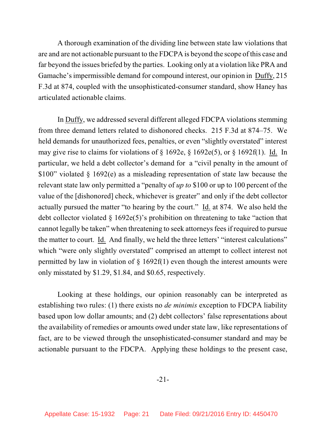A thorough examination of the dividing line between state law violations that are and are not actionable pursuant to the FDCPA is beyond the scope of this case and far beyond the issues briefed by the parties. Looking only at a violation like PRA and Gamache's impermissible demand for compound interest, our opinion in Duffy, 215 F.3d at 874, coupled with the unsophisticated-consumer standard, show Haney has articulated actionable claims.

In Duffy, we addressed several different alleged FDCPA violations stemming from three demand letters related to dishonored checks. 215 F.3d at 874–75. We held demands for unauthorized fees, penalties, or even "slightly overstated" interest may give rise to claims for violations of  $\S$  1692e,  $\S$  1692e(5), or  $\S$  1692f(1). Id. In particular, we held a debt collector's demand for a "civil penalty in the amount of \$100" violated § 1692(e) as a misleading representation of state law because the relevant state law only permitted a "penalty of *up to* \$100 or up to 100 percent of the value of the [dishonored] check, whichever is greater" and only if the debt collector actually pursued the matter "to hearing by the court." Id. at 874. We also held the debt collector violated § 1692e(5)'s prohibition on threatening to take "action that cannot legally be taken" when threatening to seek attorneys feesif required to pursue the matter to court. Id. And finally, we held the three letters' "interest calculations" which "were only slightly overstated" comprised an attempt to collect interest not permitted by law in violation of  $\S$  1692f(1) even though the interest amounts were only misstated by \$1.29, \$1.84, and \$0.65, respectively.

Looking at these holdings, our opinion reasonably can be interpreted as establishing two rules: (1) there exists no *de minimis* exception to FDCPA liability based upon low dollar amounts; and (2) debt collectors' false representations about the availability of remedies or amounts owed under state law, like representations of fact, are to be viewed through the unsophisticated-consumer standard and may be actionable pursuant to the FDCPA. Applying these holdings to the present case,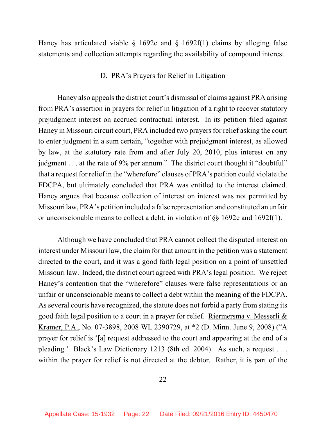Haney has articulated viable  $\S$  1692e and  $\S$  1692f(1) claims by alleging false statements and collection attempts regarding the availability of compound interest.

#### D. PRA's Prayers for Relief in Litigation

Haney also appeals the district court's dismissal of claims against PRA arising from PRA's assertion in prayers for relief in litigation of a right to recover statutory prejudgment interest on accrued contractual interest. In its petition filed against Haney in Missouri circuit court, PRA included two prayers for relief asking the court to enter judgment in a sum certain, "together with prejudgment interest, as allowed by law, at the statutory rate from and after July 20, 2010, plus interest on any judgment . . . at the rate of 9% per annum." The district court thought it "doubtful" that a request for relief in the "wherefore" clauses of PRA's petition could violate the FDCPA, but ultimately concluded that PRA was entitled to the interest claimed. Haney argues that because collection of interest on interest was not permitted by Missouri law, PRA's petition included a false representation and constituted an unfair or unconscionable means to collect a debt, in violation of §§ 1692e and 1692f(1).

Although we have concluded that PRA cannot collect the disputed interest on interest under Missouri law, the claim for that amount in the petition was a statement directed to the court, and it was a good faith legal position on a point of unsettled Missouri law. Indeed, the district court agreed with PRA's legal position. We reject Haney's contention that the "wherefore" clauses were false representations or an unfair or unconscionable means to collect a debt within the meaning of the FDCPA. As several courts have recognized, the statute does not forbid a party from stating its good faith legal position to a court in a prayer for relief. Riermersma v. Messerli & Kramer, P.A., No. 07-3898, 2008 WL 2390729, at \*2 (D. Minn. June 9, 2008) ("A prayer for relief is '[a] request addressed to the court and appearing at the end of a pleading.' Black's Law Dictionary 1213 (8th ed. 2004). As such, a request . . . within the prayer for relief is not directed at the debtor. Rather, it is part of the

-22-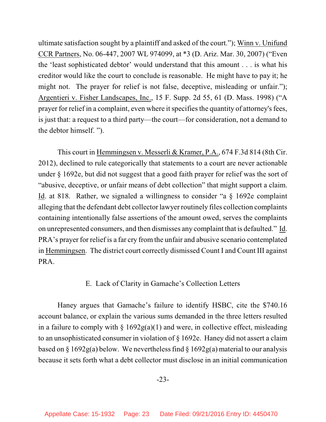ultimate satisfaction sought by a plaintiff and asked of the court."); Winn v. Unifund CCR Partners, No. 06-447, 2007 WL 974099, at \*3 (D. Ariz. Mar. 30, 2007) ("Even the 'least sophisticated debtor' would understand that this amount . . . is what his creditor would like the court to conclude is reasonable. He might have to pay it; he might not. The prayer for relief is not false, deceptive, misleading or unfair."); Argentieri v. Fisher Landscapes, Inc., 15 F. Supp. 2d 55, 61 (D. Mass. 1998) ("A prayer for relief in a complaint, even where it specifies the quantity of attorney's fees, is just that: a request to a third party—the court—for consideration, not a demand to the debtor himself. ").

This court in Hemmingsen v. Messerli & Kramer, P.A., 674 F.3d 814 (8th Cir. 2012), declined to rule categorically that statements to a court are never actionable under § 1692e, but did not suggest that a good faith prayer for relief was the sort of "abusive, deceptive, or unfair means of debt collection" that might support a claim. Id. at 818. Rather, we signaled a willingness to consider "a § 1692e complaint alleging that the defendant debt collector lawyer routinely files collection complaints containing intentionally false assertions of the amount owed, serves the complaints on unrepresented consumers, and then dismisses any complaint that is defaulted." Id. PRA's prayer for relief is a far cry from the unfair and abusive scenario contemplated in Hemmingsen. The district court correctly dismissed Count I and Count III against PRA.

## E. Lack of Clarity in Gamache's Collection Letters

Haney argues that Gamache's failure to identify HSBC, cite the \$740.16 account balance, or explain the various sums demanded in the three letters resulted in a failure to comply with  $\S 1692g(a)(1)$  and were, in collective effect, misleading to an unsophisticated consumer in violation of § 1692e. Haney did not assert a claim based on § 1692g(a) below. We nevertheless find § 1692g(a) material to our analysis because it sets forth what a debt collector must disclose in an initial communication

-23-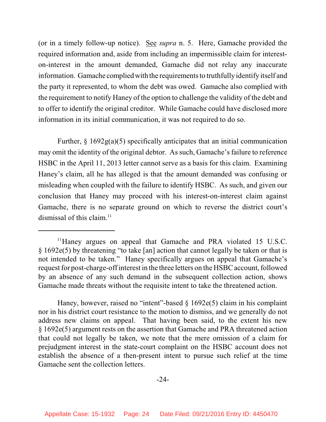(or in a timely follow-up notice). See *supra* n. 5. Here, Gamache provided the required information and, aside from including an impermissible claim for intereston-interest in the amount demanded, Gamache did not relay any inaccurate information. Gamache complied with the requirements to truthfully identify itself and the party it represented, to whom the debt was owed. Gamache also complied with the requirement to notify Haney of the option to challenge the validity of the debt and to offer to identify the original creditor. While Gamache could have disclosed more information in its initial communication, it was not required to do so.

Further,  $\S 1692g(a)(5)$  specifically anticipates that an initial communication may omit the identity of the original debtor. As such, Gamache's failure to reference HSBC in the April 11, 2013 letter cannot serve as a basis for this claim. Examining Haney's claim, all he has alleged is that the amount demanded was confusing or misleading when coupled with the failure to identify HSBC. As such, and given our conclusion that Haney may proceed with his interest-on-interest claim against Gamache, there is no separate ground on which to reverse the district court's dismissal of this claim. 11

Haney, however, raised no "intent"-based § 1692e(5) claim in his complaint nor in his district court resistance to the motion to dismiss, and we generally do not address new claims on appeal. That having been said, to the extent his new § 1692e(5) argument rests on the assertion that Gamache and PRA threatened action that could not legally be taken, we note that the mere omission of a claim for prejudgment interest in the state-court complaint on the HSBC account does not establish the absence of a then-present intent to pursue such relief at the time Gamache sent the collection letters.

 $11$ Haney argues on appeal that Gamache and PRA violated 15 U.S.C. § 1692e(5) by threatening "to take [an] action that cannot legally be taken or that is not intended to be taken." Haney specifically argues on appeal that Gamache's request for post-charge-off interest in the three letters on the HSBC account, followed by an absence of any such demand in the subsequent collection action, shows Gamache made threats without the requisite intent to take the threatened action.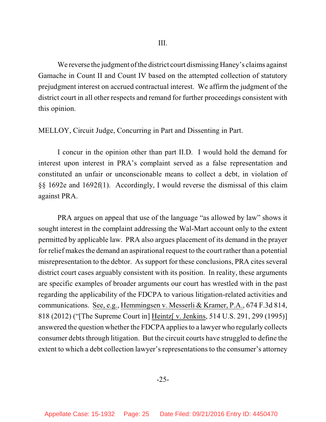We reverse the judgment of the district court dismissing Haney's claims against Gamache in Count II and Count IV based on the attempted collection of statutory prejudgment interest on accrued contractual interest. We affirm the judgment of the district court in all other respects and remand for further proceedings consistent with this opinion.

MELLOY, Circuit Judge, Concurring in Part and Dissenting in Part.

I concur in the opinion other than part II.D. I would hold the demand for interest upon interest in PRA's complaint served as a false representation and constituted an unfair or unconscionable means to collect a debt, in violation of §§ 1692e and 1692f(1). Accordingly, I would reverse the dismissal of this claim against PRA.

PRA argues on appeal that use of the language "as allowed by law" shows it sought interest in the complaint addressing the Wal-Mart account only to the extent permitted by applicable law. PRA also argues placement of its demand in the prayer for relief makes the demand an aspirational request to the court rather than a potential misrepresentation to the debtor. As support for these conclusions, PRA cites several district court cases arguably consistent with its position. In reality, these arguments are specific examples of broader arguments our court has wrestled with in the past regarding the applicability of the FDCPA to various litigation-related activities and communications. See, e.g., Hemmingsen v. Messerli & Kramer, P.A., 674 F.3d 814, 818 (2012) ("[The Supreme Court in] Heintz[ v. Jenkins, 514 U.S. 291, 299 (1995)] answered the question whether the FDCPA applies to a lawyer who regularly collects consumer debts through litigation. But the circuit courts have struggled to define the extent to which a debt collection lawyer's representations to the consumer's attorney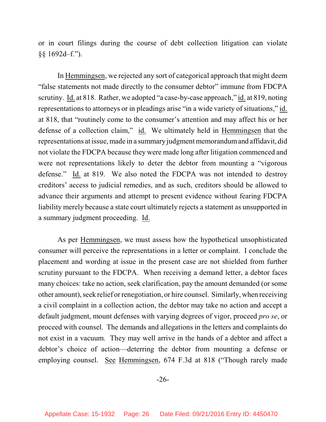or in court filings during the course of debt collection litigation can violate §§ 1692d–f.").

In Hemmingsen, we rejected any sort of categorical approach that might deem "false statements not made directly to the consumer debtor" immune from FDCPA scrutiny. Id. at 818. Rather, we adopted "a case-by-case approach," id. at 819, noting representations to attorneys or in pleadings arise "in a wide variety of situations," id. at 818, that "routinely come to the consumer's attention and may affect his or her defense of a collection claim," id. We ultimately held in Hemmingsen that the representations at issue, made in a summary judgment memorandumand affidavit, did not violate the FDCPA because they were made long after litigation commenced and were not representations likely to deter the debtor from mounting a "vigorous defense." Id. at 819. We also noted the FDCPA was not intended to destroy creditors' access to judicial remedies, and as such, creditors should be allowed to advance their arguments and attempt to present evidence without fearing FDCPA liability merely because a state court ultimately rejects a statement as unsupported in a summary judgment proceeding. Id.

As per Hemmingsen, we must assess how the hypothetical unsophisticated consumer will perceive the representations in a letter or complaint. I conclude the placement and wording at issue in the present case are not shielded from further scrutiny pursuant to the FDCPA. When receiving a demand letter, a debtor faces many choices: take no action, seek clarification, pay the amount demanded (or some other amount), seek relief orrenegotiation, or hire counsel. Similarly, when receiving a civil complaint in a collection action, the debtor may take no action and accept a default judgment, mount defenses with varying degrees of vigor, proceed *pro se*, or proceed with counsel. The demands and allegations in the letters and complaints do not exist in a vacuum. They may well arrive in the hands of a debtor and affect a debtor's choice of action—deterring the debtor from mounting a defense or employing counsel. See Hemmingsen, 674 F.3d at 818 ("Though rarely made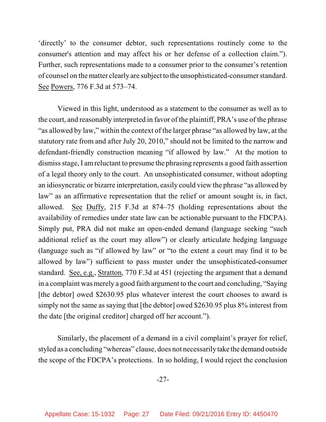'directly' to the consumer debtor, such representations routinely come to the consumer's attention and may affect his or her defense of a collection claim."). Further, such representations made to a consumer prior to the consumer's retention of counsel on the matter clearly are subject to the unsophisticated-consumer standard. See Powers, 776 F.3d at 573–74.

Viewed in this light, understood as a statement to the consumer as well as to the court, and reasonably interpreted in favor of the plaintiff, PRA's use of the phrase "as allowed by law," within the context of the larger phrase "as allowed by law, at the statutory rate from and after July 20, 2010," should not be limited to the narrow and defendant-friendly construction meaning "if allowed by law." At the motion to dismiss stage, I amreluctant to presume the phrasing represents a good faith assertion of a legal theory only to the court. An unsophisticated consumer, without adopting an idiosyncratic or bizarre interpretation, easily could view the phrase "as allowed by law" as an affirmative representation that the relief or amount sought is, in fact, allowed. See Duffy, 215 F.3d at 874–75 (holding representations about the availability of remedies under state law can be actionable pursuant to the FDCPA). Simply put, PRA did not make an open-ended demand (language seeking "such additional relief as the court may allow") or clearly articulate hedging language (language such as "if allowed by law" or "to the extent a court may find it to be allowed by law") sufficient to pass muster under the unsophisticated-consumer standard. See, e.g., Stratton, 770 F.3d at 451 (rejecting the argument that a demand in a complaint was merely a good faith argument to the court and concluding, "Saying [the debtor] owed \$2630.95 plus whatever interest the court chooses to award is simply not the same as saying that [the debtor] owed \$2630.95 plus 8% interest from the date [the original creditor] charged off her account.").

Similarly, the placement of a demand in a civil complaint's prayer for relief, styled as a concluding "whereas" clause, does not necessarily take the demand outside the scope of the FDCPA's protections. In so holding, I would reject the conclusion

-27-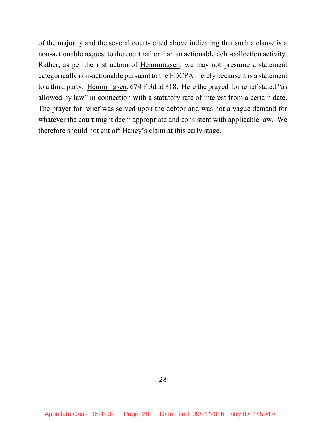of the majority and the several courts cited above indicating that such a clause is a non-actionable request to the court rather than an actionable debt-collection activity. Rather, as per the instruction of Hemmingsen: we may not presume a statement categorically non-actionable pursuant to the FDCPA merely because it is a statement to a third party. Hemmingsen, 674 F.3d at 818. Here the prayed-for relief stated "as allowed by law" in connection with a statutory rate of interest from a certain date. The prayer for relief was served upon the debtor and was not a vague demand for whatever the court might deem appropriate and consistent with applicable law. We therefore should not cut off Haney's claim at this early stage.

 $\frac{1}{2}$  , the set of the set of the set of the set of the set of the set of the set of the set of the set of the set of the set of the set of the set of the set of the set of the set of the set of the set of the set of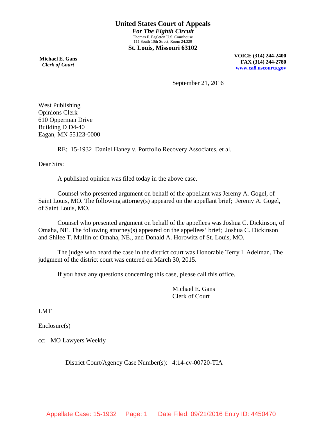**Michael E. Gans**  *Clerk of Court*

**VOICE (314) 244-2400 FAX (314) 244-2780 [www.ca8.uscourts.gov](http://www.ca8.uscourts.gov/)**

September 21, 2016

West Publishing Opinions Clerk 610 Opperman Drive Building D D4-40 Eagan, MN 55123-0000

RE: 15-1932 Daniel Haney v. Portfolio Recovery Associates, et al.

Dear Sirs:

A published opinion was filed today in the above case.

Counsel who presented argument on behalf of the appellant was Jeremy A. Gogel, of Saint Louis, MO. The following attorney(s) appeared on the appellant brief; Jeremy A. Gogel, of Saint Louis, MO.

Counsel who presented argument on behalf of the appellees was Joshua C. Dickinson, of Omaha, NE. The following attorney(s) appeared on the appellees' brief; Joshua C. Dickinson and Shilee T. Mullin of Omaha, NE., and Donald A. Horowitz of St. Louis, MO.

The judge who heard the case in the district court was Honorable Terry I. Adelman. The judgment of the district court was entered on March 30, 2015.

If you have any questions concerning this case, please call this office.

Michael E. Gans Clerk of Court

LMT

Enclosure(s)

cc: MO Lawyers Weekly

District Court/Agency Case Number(s): 4:14-cv-00720-TIA

Appellate Case: 15-1932 Page: 1 Date Filed: 09/21/2016 Entry ID: 4450470